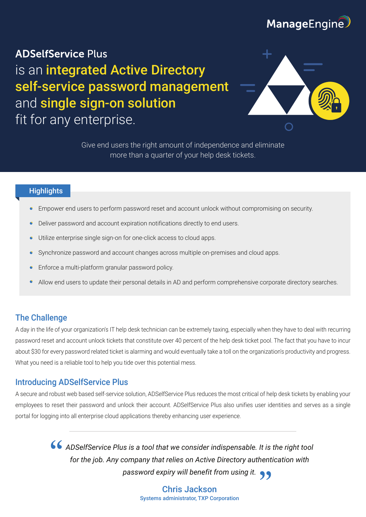# ManageEngine

# **ADSelfService Plus** is an integrated Active Directory self-service password management and single sign-on solution fit for any enterprise.



Give end users the right amount of independence and eliminate more than a quarter of your help desk tickets.

#### **Highlights**

- Empower end users to perform password reset and account unlock without compromising on security.
- Deliver password and account expiration notifications directly to end users.
- Utilize enterprise single sign-on for one-click access to cloud apps.
- Synchronize password and account changes across multiple on-premises and cloud apps.
- Enforce a multi-platform granular password policy.
- Allow end users to update their personal details in AD and perform comprehensive corporate directory searches.

## The Challenge

A day in the life of your organization's IT help desk technician can be extremely taxing, especially when they have to deal with recurring password reset and account unlock tickets that constitute over 40 percent of the help desk ticket pool. The fact that you have to incur about \$30 for every password related ticket is alarming and would eventually take a toll on the organization's productivity and progress. What you need is a reliable tool to help you tide over this potential mess.

### Introducing ADSelfService Plus

A secure and robust web based self-service solution, ADSelfService Plus reduces the most critical of help desk tickets by enabling your employees to reset their password and unlock their account. ADSelfService Plus also unifies user identities and serves as a single portal for logging into all enterprise cloud applications thereby enhancing user experience.

> *ADSelfService Plus is a tool that we consider indispensable. It is the right tool for the job. Any company that relies on Active Directory authentication with password expiry will benefit from using it.*

> > Chris Jackson Systems administrator, TXP Corporation